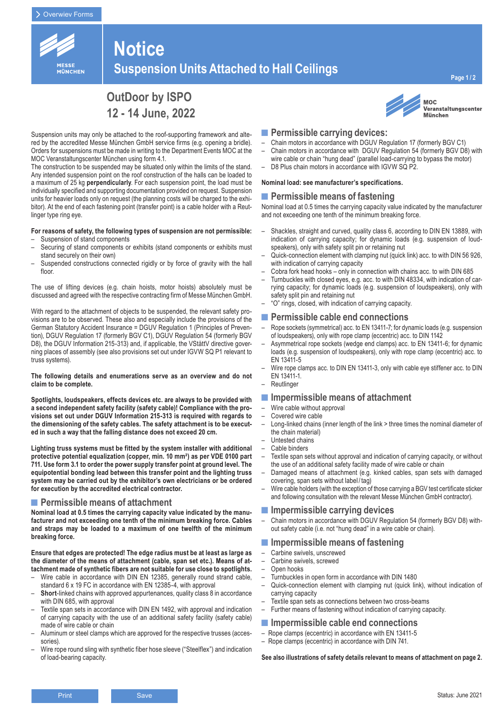

# **Notice Suspension Units Attached to Hall Ceilings**

# **OutDoor by ISPO 12 - 14 June, 2022**

Suspension units may only be attached to the roof-supporting framework and altered by the accredited Messe München GmbH service firms (e.g. opening a bridle). Orders for suspensions must be made in writing to the Department Events MOC at the MOC Veranstaltungscenter München using form 4.1.

The construction to be suspended may be situated only within the limits of the stand. Any intended suspension point on the roof construction of the halls can be loaded to a maximum of 25 kg **perpendicularly**. For each suspension point, the load must be individually specified and supporting documentation provided on request. Suspension units for heavier loads only on request (the planning costs will be charged to the exhibitor). At the end of each fastening point (transfer point) is a cable holder with a Reutlinger type ring eye.

#### **For reasons of safety, the following types of suspension are not permissible:**

- Suspension of stand components
- Securing of stand components or exhibits (stand components or exhibits must stand securely on their own)
- Suspended constructions connected rigidly or by force of gravity with the hall floor.

The use of lifting devices (e.g. chain hoists, motor hoists) absolutely must be discussed and agreed with the respective contracting firm of Messe München GmbH.

With regard to the attachment of objects to be suspended, the relevant safety provisions are to be observed. These also and especially include the provisions of the German Statutory Accident Insurance = DGUV Regulation 1 (Principles of Prevention), DGUV Regulation 17 (formerly BGV C1), DGUV Regulation 54 (formerly BGV D8), the DGUV Information 215-313) and, if applicable, the VStättV directive governing places of assembly (see also provisions set out under IGVW SQ P1 relevant to truss systems).

#### **The following details and enumerations serve as an overview and do not claim to be complete.**

**Spotlights, loudspeakers, effects devices etc. are always to be provided with a second independent safety facility (safety cable)! Compliance with the provisions set out under DGUV Information 215-313 is required with regards to the dimensioning of the safety cables. The safety attachment is to be executed in such a way that the falling distance does not exceed 20 cm.**

**Lighting truss systems must be fitted by the system installer with additional protective potential equalization (copper, min. 10 mm²) as per VDE 0100 part 711. Use form 3.1 to order the power supply transfer point at ground level. The equipotential bonding lead between this transfer point and the lighting truss system may be carried out by the exhibitor's own electricians or be ordered for execution by the accredited electrical contractor.** 

### ■ Permissible means of attachment

**Nominal load at 0.5 times the carrying capacity value indicated by the manufacturer and not exceeding one tenth of the minimum breaking force. Cables and straps may be loaded to a maximum of one twelfth of the minimum breaking force.** 

**Ensure that edges are protected! The edge radius must be at least as large as the diameter of the means of attachment (cable, span set etc.). Means of attachment made of synthetic fibers are not suitable for use close to spotlights.**

- Wire cable in accordance with DIN EN 12385, generally round strand cable, standard 6 x 19 FC in accordance with EN 12385-4, with approval
- **Short**-linked chains with approved appurtenances, quality class 8 in accordance with DIN 685, with approval
- Textile span sets in accordance with DIN EN 1492, with approval and indication of carrying capacity with the use of an additional safety facility (safety cable) made of wire cable or chain
- Aluminum or steel clamps which are approved for the respective trusses (accessories).
- Wire rope round sling with synthetic fiber hose sleeve ("Steelflex") and indication of load-bearing capacity.



#### **MOC** Veranstaltungscenter **München**

- **■Permissible carrying devices:**
- Chain motors in accordance with DGUV Regulation 17 (formerly BGV C1) – Chain motors in accordance with DGUV Regulation 54 (formerly BGV D8) with
- wire cable or chain "hung dead" (parallel load-carrying to bypass the motor) – D8 Plus chain motors in accordance with IGVW SQ P2.
- 

# **Nominal load: see manufacturer's specifications.**

### ■ Permissible means of fastening

Nominal load at 0.5 times the carrying capacity value indicated by the manufacturer and not exceeding one tenth of the minimum breaking force.

- Shackles, straight and curved, quality class 6, according to DIN EN 13889, with indication of carrying capacity; for dynamic loads (e.g. suspension of loudspeakers), only with safety split pin or retaining nut
- Quick-connection element with clamping nut (quick link) acc. to with DIN 56 926, with indication of carrying capacity
- Cobra fork head hooks only in connection with chains acc. to with DIN 685
- Turnbuckles with closed eyes, e.g. acc. to with DIN 48334, with indication of carrying capacity; for dynamic loads (e.g. suspension of loudspeakers), only with safety split pin and retaining nut
- "O" rings, closed, with indication of carrying capacity.

# **■Permissible cable end connections**

- Rope sockets (symmetrical) acc. to EN 13411-7; for dynamic loads (e.g. suspension of loudspeakers), only with rope clamp (eccentric) acc. to DIN 1142
- Asymmetrical rope sockets (wedge end clamps) acc. to EN 13411-6; for dynamic loads (e.g. suspension of loudspeakers), only with rope clamp (eccentric) acc. to EN 13411-5
- Wire rope clamps acc. to DIN EN 13411-3, only with cable eye stiffener acc. to DIN EN 13411-1.
- **Reutlinger**

### **■Impermissible means of attachment**

- Wire cable without approval
- Covered wire cable
- Long-linked chains (inner length of the link > three times the nominal diameter of the chain material)
- Untested chains
- Cable binders
- Textile span sets without approval and indication of carrying capacity, or without the use of an additional safety facility made of wire cable or chain
- Damaged means of attachment (e.g. kinked cables, span sets with damaged covering, span sets without label / tag)
- Wire cable holders (with the exception of those carrying a BGV test certificate sticker and following consultation with the relevant Messe München GmbH contractor).

## **■Impermissible carrying devices**

– Chain motors in accordance with DGUV Regulation 54 (formerly BGV D8) without safety cable (i.e. not "hung dead" in a wire cable or chain).

## **■Impermissible means of fastening**

- Carbine swivels, unscrewed
- Carbine swivels, screwed
- Open hooks
- Turnbuckles in open form in accordance with DIN 1480
- Quick-connection element with clamping nut (quick link), without indication of carrying capacity
- Textile span sets as connections between two cross-beams
- Further means of fastening without indication of carrying capacity.

### **■Impermissible cable end connections**

- Rope clamps (eccentric) in accordance with EN 13411-5
- Rope clamps (eccentric) in accordance with DIN 741.

**See also illustrations of safety details relevant to means of attachment on page 2.**

**Page 1 / 2**